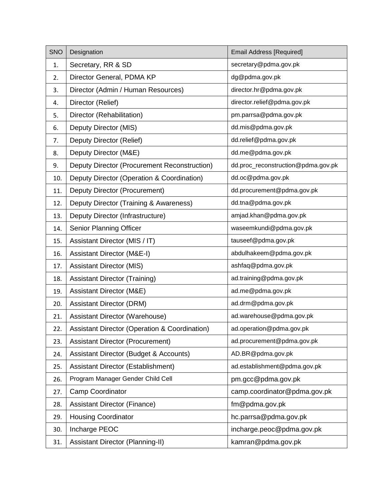| <b>SNO</b> | Designation                                              | <b>Email Address [Required]</b>    |
|------------|----------------------------------------------------------|------------------------------------|
| 1.         | Secretary, RR & SD                                       | secretary@pdma.gov.pk              |
| 2.         | Director General, PDMA KP                                | dg@pdma.gov.pk                     |
| 3.         | Director (Admin / Human Resources)                       | director.hr@pdma.gov.pk            |
| 4.         | Director (Relief)                                        | director.relief@pdma.gov.pk        |
| 5.         | Director (Rehabilitation)                                | pm.parrsa@pdma.gov.pk              |
| 6.         | Deputy Director (MIS)                                    | dd.mis@pdma.gov.pk                 |
| 7.         | Deputy Director (Relief)                                 | dd.relief@pdma.gov.pk              |
| 8.         | Deputy Director (M&E)                                    | dd.me@pdma.gov.pk                  |
| 9.         | Deputy Director (Procurement Reconstruction)             | dd.proc_reconstruction@pdma.gov.pk |
| 10.        | Deputy Director (Operation & Coordination)               | dd.oc@pdma.gov.pk                  |
| 11.        | Deputy Director (Procurement)                            | dd.procurement@pdma.gov.pk         |
| 12.        | Deputy Director (Training & Awareness)                   | dd.tna@pdma.gov.pk                 |
| 13.        | Deputy Director (Infrastructure)                         | amjad.khan@pdma.gov.pk             |
| 14.        | Senior Planning Officer                                  | waseemkundi@pdma.gov.pk            |
| 15.        | Assistant Director (MIS / IT)                            | tauseef@pdma.gov.pk                |
| 16.        | <b>Assistant Director (M&amp;E-I)</b>                    | abdulhakeem@pdma.gov.pk            |
| 17.        | <b>Assistant Director (MIS)</b>                          | ashfaq@pdma.gov.pk                 |
| 18.        | <b>Assistant Director (Training)</b>                     | ad.training@pdma.gov.pk            |
| 19.        | Assistant Director (M&E)                                 | ad.me@pdma.gov.pk                  |
| 20.        | <b>Assistant Director (DRM)</b>                          | ad.drm@pdma.gov.pk                 |
| 21.        | Assistant Director (Warehouse)                           | ad.warehouse@pdma.gov.pk           |
| 22.        | <b>Assistant Director (Operation &amp; Coordination)</b> | ad.operation@pdma.gov.pk           |
| 23.        | <b>Assistant Director (Procurement)</b>                  | ad.procurement@pdma.gov.pk         |
| 24.        | <b>Assistant Director (Budget &amp; Accounts)</b>        | AD.BR@pdma.gov.pk                  |
| 25.        | Assistant Director (Establishment)                       | ad.establishment@pdma.gov.pk       |
| 26.        | Program Manager Gender Child Cell                        | pm.gcc@pdma.gov.pk                 |
| 27.        | <b>Camp Coordinator</b>                                  | camp.coordinator@pdma.gov.pk       |
| 28.        | <b>Assistant Director (Finance)</b>                      | fm@pdma.gov.pk                     |
| 29.        | <b>Housing Coordinator</b>                               | hc.parrsa@pdma.gov.pk              |
| 30.        | Incharge PEOC                                            | incharge.peoc@pdma.gov.pk          |
| 31.        | Assistant Director (Planning-II)                         | kamran@pdma.gov.pk                 |